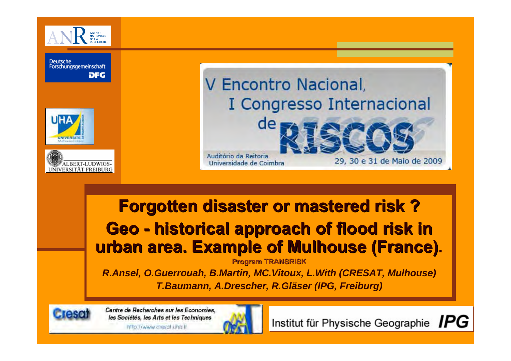

Deutsche Forschungsgemeinschaft **DFG** 





# V Encontro Nacional, I Congresso Internacional de

Auditório da Reitoria Universidade de Coimbra

#### **Forgotten disaster or mastered risk? Geo historical approach of flood risk in historical approach of flood risk in urban area. Example of Mulhouse (France). urban area. Example of Mulhouse (France)**

**Program TRANSRISK**

*R.Ansel, O.Guerrouah, B.Martin, MC.Vitoux, L.With (CRESAT, Mulhouse) T.Baumann, A.Drescher, R.Gläser (IPG, Freiburg)*



Centre de Recherches sur les Economies, les Sociétés, les Arts et les Techniques intro //www.cresat una.tr



Institut für Physische Geographie IPG

29, 30 e 31 de Maio de 2009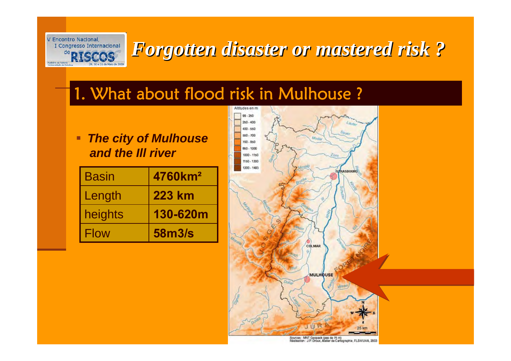

#### 1. What about flood risk in Mulhouse ?

 $\blacksquare$  *The city of Mulhouse and the Ill river*

| <b>Basin</b> | 4760km <sup>2</sup> |
|--------------|---------------------|
| Length       | <b>223 km</b>       |
| heights      | 130-620m            |
| Flow         | 58m3/s              |



Sources : MNT Geopack (pas de 75 m)<br>Réalisation : J.P. Droux, Atelier de Carlographie, FLSH/UHA, 2003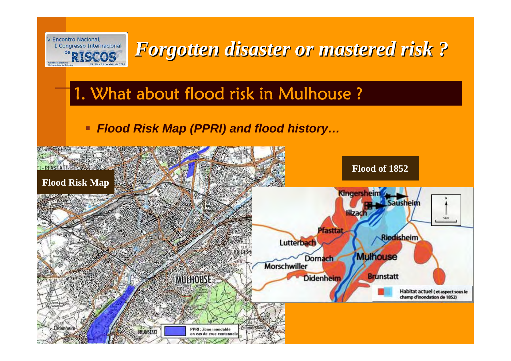

# 1. What about flood risk in Mulhouse ?

#### *Flood Risk Map (PPRI) and flood history…*

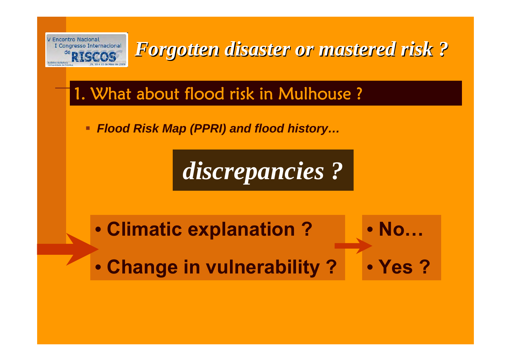

# 1. What about flood risk in Mulhouse ?

ш *Flood Risk Map (PPRI) and flood history…*

*discrepancies ?*

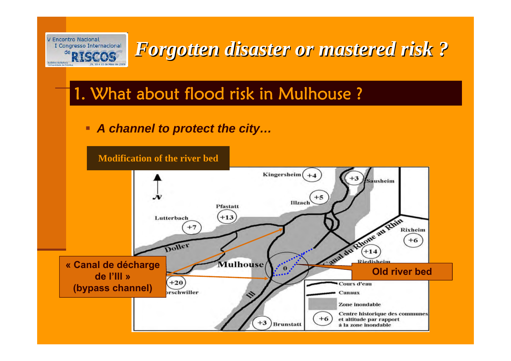

# 1. What about flood risk in Mulhouse ?

■ *A channel to protect the city…* 

**Modification of the river bed**

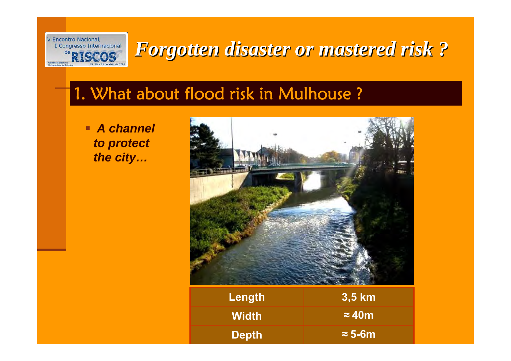

#### 1. What about flood risk in Mulhouse ?

 *A channel to protect the city…*



| Length       | 3,5 km         |
|--------------|----------------|
| <b>Width</b> | $\approx$ 40m  |
| <b>Depth</b> | $\approx$ 5-6m |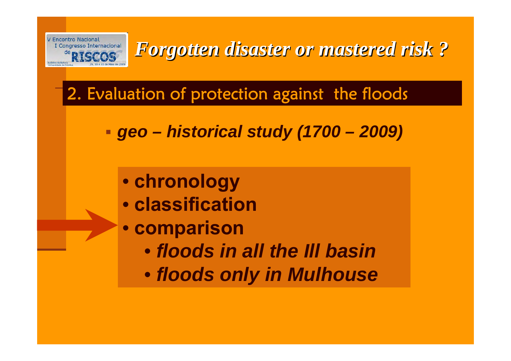

# 2. Evaluation of protection against the floods

- *geo – historical study (1700 – 2009)*
	- **chronology**
	- **classification**
	- **comparison**
		- *floods in all the Ill basin*
		- *floods only in Mulhouse*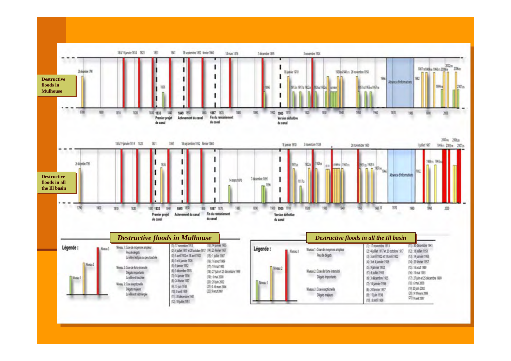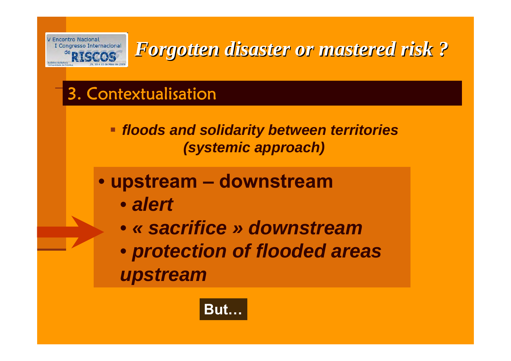

# 3. Contextualisation

- *floods and solidarity between territories (systemic approach)*
- **upstream – downstream**
	- *alert*
	- *« sacrifice » downstream*
	- *protection of flooded areas upstream*

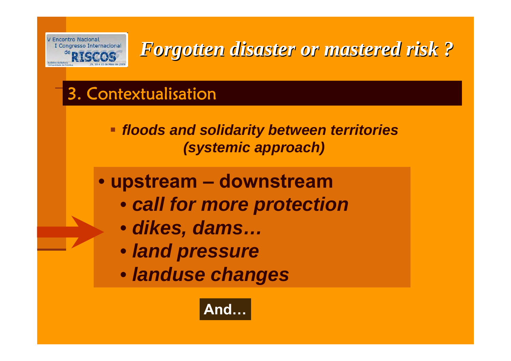

# 3. Contextualisation

 *floods and solidarity between territories (systemic approach)*

#### • **upstream – downstream**

- *call for more protection*
- *dikes, dams…*
- *land pressure*
- *landuse changes*

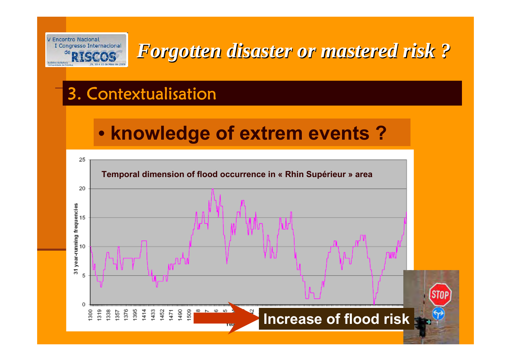

## 3. Contextualisation

# • **knowledge of extrem events ?**

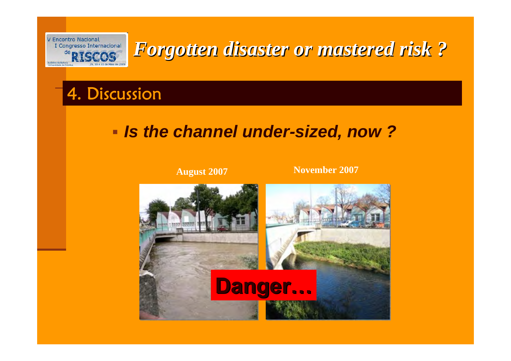

#### 4. Discussion

#### *Is the channel under-sized, now ?*

**August 2007 November <sup>2007</sup>**

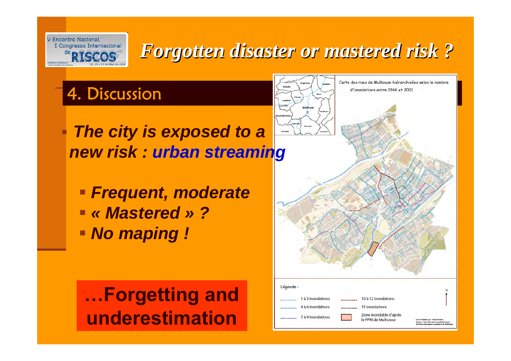

# 4. Discussion

- Π *The city is exposed to a new risk : urban streaming*
	- *Frequent, moderate « Mastered » ?No maping !*

**…Forgetting and underestimation**